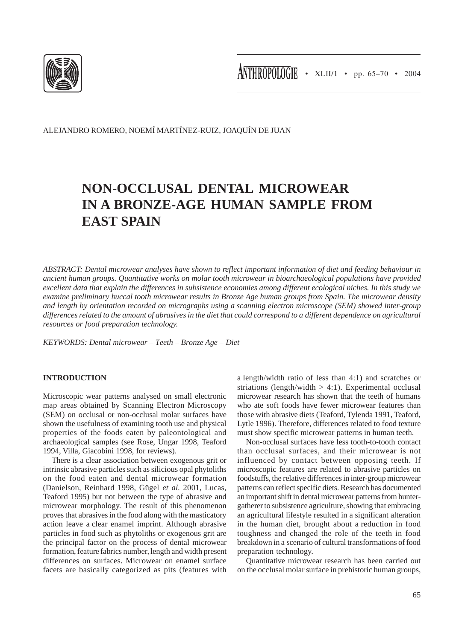

ALEJANDRO ROMERO, NOEMÍ MARTÍNEZ-RUIZ, JOAQUÍN DE JUAN

# **NON-OCCLUSAL DENTAL MICROWEAR IN A BRONZE-AGE HUMAN SAMPLE FROM EAST SPAIN**

*ABSTRACT: Dental microwear analyses have shown to reflect important information of diet and feeding behaviour in ancient human groups. Quantitative works on molar tooth microwear in bioarchaeological populations have provided excellent data that explain the differences in subsistence economies among different ecological niches. In this study we examine preliminary buccal tooth microwear results in Bronze Age human groups from Spain. The microwear density and length by orientation recorded on micrographs using a scanning electron microscope (SEM) showed inter-group differences related to the amount of abrasives in the diet that could correspond to a different dependence on agricultural resources or food preparation technology.*

*KEYWORDS: Dental microwear – Teeth – Bronze Age – Diet*

### **INTRODUCTION**

Microscopic wear patterns analysed on small electronic map areas obtained by Scanning Electron Microscopy (SEM) on occlusal or non-occlusal molar surfaces have shown the usefulness of examining tooth use and physical properties of the foods eaten by paleontological and archaeological samples (see Rose, Ungar 1998, Teaford 1994, Villa, Giacobini 1998, for reviews).

There is a clear association between exogenous grit or intrinsic abrasive particles such as silicious opal phytoliths on the food eaten and dental microwear formation (Danielson, Reinhard 1998, Gügel *et al.* 2001, Lucas, Teaford 1995) but not between the type of abrasive and microwear morphology. The result of this phenomenon proves that abrasives in the food along with the masticatory action leave a clear enamel imprint. Although abrasive particles in food such as phytoliths or exogenous grit are the principal factor on the process of dental microwear formation, feature fabrics number, length and width present differences on surfaces. Microwear on enamel surface facets are basically categorized as pits (features with a length/width ratio of less than 4:1) and scratches or striations (length/width  $> 4:1$ ). Experimental occlusal microwear research has shown that the teeth of humans who ate soft foods have fewer microwear features than those with abrasive diets (Teaford, Tylenda 1991, Teaford, Lytle 1996). Therefore, differences related to food texture must show specific microwear patterns in human teeth.

Non-occlusal surfaces have less tooth-to-tooth contact than occlusal surfaces, and their microwear is not influenced by contact between opposing teeth. If microscopic features are related to abrasive particles on foodstuffs, the relative differences in inter-group microwear patterns can reflect specific diets. Research has documented an important shift in dental microwear patterns from huntergatherer to subsistence agriculture, showing that embracing an agricultural lifestyle resulted in a significant alteration in the human diet, brought about a reduction in food toughness and changed the role of the teeth in food breakdown in a scenario of cultural transformations of food preparation technology.

Quantitative microwear research has been carried out on the occlusal molar surface in prehistoric human groups,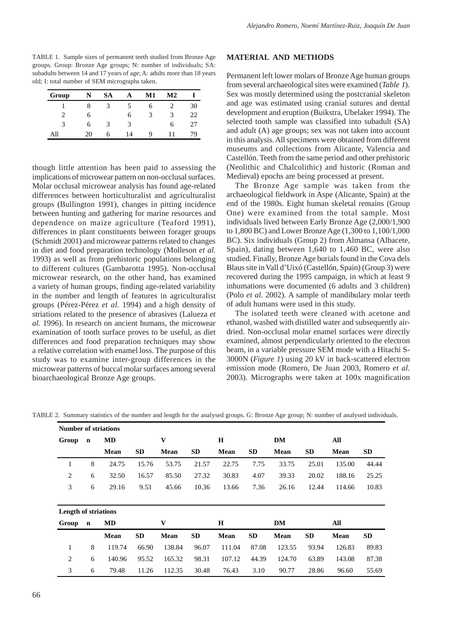TABLE 1. Sample sizes of permanent teeth studied from Bronze Age groups. Group: Bronze Age groups; N: number of individuals; SA: subadults between 14 and 17 years of age; A: adults more than 18 years old; I: total number of SEM micrographs taken.

| Group | N  | SА |    | Μ1 | M2 |    |
|-------|----|----|----|----|----|----|
|       | 8  |    |    | h  |    | 30 |
| 2     | n  |    | 6  | 3  | 3  | 22 |
| 3     | 6  | 3  | 3  |    | 6  | 27 |
| All   | 20 | h  | 14 | q  |    | 79 |

though little attention has been paid to assessing the implications of microwear pattern on non-occlusal surfaces. Molar occlusal microwear analysis has found age-related differences between horticulturalist and agriculturalist groups (Bullington 1991), changes in pitting incidence between hunting and gathering for marine resources and dependence on maize agriculture (Teaford 1991), differences in plant constituents between forager groups (Schmidt 2001) and microwear patterns related to changes in diet and food preparation technology (Molleson *et al.* 1993) as well as from prehistoric populations belonging to different cultures (Gambarotta 1995). Non-occlusal microwear research, on the other hand, has examined a variety of human groups, finding age-related variability in the number and length of features in agriculturalist groups (Pérez-Pérez *et al.* 1994) and a high density of striations related to the presence of abrasives (Lalueza *et al.* 1996). In research on ancient humans, the microwear examination of tooth surface proves to be useful, as diet differences and food preparation techniques may show a relative correlation with enamel loss. The purpose of this study was to examine inter-group differences in the microwear patterns of buccal molar surfaces among several bioarchaeological Bronze Age groups.

#### **MATERIAL AND METHODS**

Permanent left lower molars of Bronze Age human groups from several archaeological sites were examined (*Table 1*). Sex was mostly determined using the postcranial skeleton and age was estimated using cranial sutures and dental development and eruption (Buikstra, Ubelaker 1994). The selected tooth sample was classified into subadult (SA) and adult (A) age groups; sex was not taken into account in this analysis. All specimens were obtained from different museums and collections from Alicante, Valencia and Castellón. Teeth from the same period and other prehistoric (Neolithic and Chalcolithic) and historic (Roman and Medieval) epochs are being processed at present.

The Bronze Age sample was taken from the archaeological fieldwork in Aspe (Alicante, Spain) at the end of the 1980s. Eight human skeletal remains (Group One) were examined from the total sample. Most individuals lived between Early Bronze Age (2,000/1,900 to 1,800 BC) and Lower Bronze Age (1,300 to 1,100/1,000 BC). Six individuals (Group 2) from Almansa (Albacete, Spain), dating between 1,640 to 1,460 BC, were also studied. Finally, Bronze Age burials found in the Cova dels Blaus site in Vall d'Uixó (Castellón, Spain) (Group 3) were recovered during the 1995 campaign, in which at least 9 inhumations were documented (6 adults and 3 children) (Polo *et al.* 2002). A sample of mandibulary molar teeth of adult humans were used in this study.

The isolated teeth were cleaned with acetone and ethanol, washed with distilled water and subsequently airdried. Non-occlusal molar enamel surfaces were directly examined, almost perpendicularly oriented to the electron beam, in a variable pressure SEM mode with a Hitachi S-3000N (*Figure 1*) using 20 kV in back-scattered electron emission mode (Romero, De Juan 2003, Romero *et al.* 2003). Micrographs were taken at 100x magnification

| Number of striations        |             |           |           |             |           |        |           |        |           |             |           |
|-----------------------------|-------------|-----------|-----------|-------------|-----------|--------|-----------|--------|-----------|-------------|-----------|
| Group<br>$\mathbf n$        |             | <b>MD</b> | V         |             | H         |        |           | DM     |           | All         |           |
|                             |             | Mean      | <b>SD</b> | Mean        | <b>SD</b> | Mean   | <b>SD</b> | Mean   | <b>SD</b> | <b>Mean</b> | <b>SD</b> |
| 1                           | 8           | 24.75     | 15.76     | 53.75       | 21.57     | 22.75  | 7.75      | 33.75  | 25.01     | 135.00      | 44.44     |
| 2                           | 6           | 32.50     | 16.57     | 85.50       | 27.32     | 30.83  | 4.07      | 39.33  | 20.02     | 188.16      | 25.25     |
| 3                           | 6           | 29.16     | 9.53      | 45.66       | 10.36     | 13.66  | 7.36      | 26.16  | 12.44     | 114.66      | 10.83     |
|                             |             |           |           |             |           |        |           |        |           |             |           |
| <b>Length of striations</b> |             |           |           |             |           |        |           |        |           |             |           |
| Group                       | $\mathbf n$ | MD        |           | V           |           | H      |           | DM     |           | All         |           |
|                             |             | Mean      | <b>SD</b> | <b>Mean</b> | <b>SD</b> | Mean   | <b>SD</b> | Mean   | <b>SD</b> | Mean        | <b>SD</b> |
| 1                           | 8           | 119.74    | 66.90     | 138.84      | 96.07     | 111.04 | 87.08     | 123.55 | 93.94     | 126.83      | 89.83     |
| 2                           | 6           | 140.96    | 95.52     | 165.32      | 98.31     | 107.12 | 44.39     | 124.70 | 63.89     | 143.08      | 87.38     |

TABLE 2. Summary statistics of the number and length for the analysed groups. G: Bronze Age group; N: number of analysed individuals.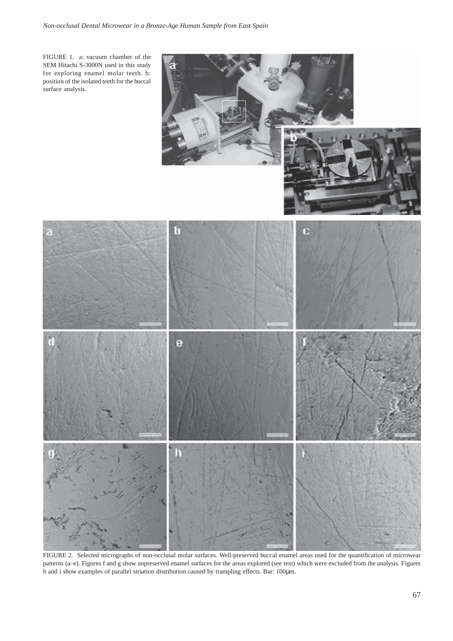FIGURE 1. a: vacuum chamber of the SEM Hitachi S-3000N used in this study for exploring enamel molar teeth. b: position of the isolated teeth for the buccal surface analysis.



FIGURE 2. Selected micrographs of non-occlusal molar surfaces. Well-preserved buccal enamel areas used for the quantification of microwear patterns (a–e). Figures f and g show unpreserved enamel surfaces for the areas explored (see text) which were excluded from the analysis. Figures h and i show examples of parallel striation distribution caused by trampling effects. Bar: 100µm.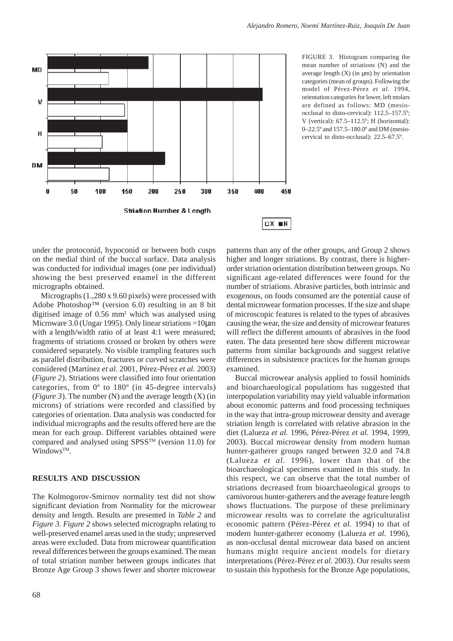

FIGURE 3. Histogram comparing the mean number of striations (N) and the average length  $(X)$  (in  $\mu$ m) by orientation categories (mean of groups). Following the model of Pérez-Pérez *et al.* 1994, orientation categories for lower, left molars are defined as follows: MD (mesioocclusal to disto-cervical): 112.5–157.5º; V (vertical): 67.5–112.5º; H (horizontal): 0–22.5º and 157.5–180.0º and DM (mesiocervical to disto-occlusal): 22.5–67.5º.

under the protoconid, hypoconid or between both cusps on the medial third of the buccal surface. Data analysis was conducted for individual images (one per individual) showing the best preserved enamel in the different micrographs obtained.

Micrographs (1.,280 x 9.60 pixels) were processed with Adobe Photoshop™ (version 6.0) resulting in an 8 bit digitised image of 0.56 mm2 which was analysed using Microware 3.0 (Ungar 1995). Only linear striations =10 $\mu$ m with a length/width ratio of at least 4:1 were measured; fragments of striations crossed or broken by others were considered separately. No visible trampling features such as parallel distribution, fractures or curved scratches were considered (Martínez *et al.* 2001, Pérez-Pérez *et al.* 2003) (*Figure 2*). Striations were classified into four orientation categories, from 0º to 180º (in 45-degree intervals) (*Figure 3*). The number (N) and the average length (X) (in microns) of striations were recorded and classified by categories of orientation. Data analysis was conducted for individual micrographs and the results offered here are the mean for each group. Different variables obtained were compared and analysed using SPSSTM (version 11.0) for Windows<sup>TM</sup>.

### **RESULTS AND DISCUSSION**

The Kolmogorov-Smirnov normality test did not show significant deviation from Normality for the microwear density and length. Results are presented in *Table 2* and *Figure 3*. *Figure 2* shows selected micrographs relating to well-preserved enamel areas used in the study; unpreserved areas were excluded. Data from microwear quantification reveal differences between the groups examined. The mean of total striation number between groups indicates that Bronze Age Group 3 shows fewer and shorter microwear patterns than any of the other groups, and Group 2 shows higher and longer striations. By contrast, there is higherorder striation orientation distribution between groups. No significant age-related differences were found for the number of striations. Abrasive particles, both intrinsic and exogenous, on foods consumed are the potential cause of dental microwear formation processes. If the size and shape of microscopic features is related to the types of abrasives causing the wear, the size and density of microwear features will reflect the different amounts of abrasives in the food eaten. The data presented here show different microwear patterns from similar backgrounds and suggest relative differences in subsistence practices for the human groups examined.

Buccal microwear analysis applied to fossil hominids and bioarchaeological populations has suggested that interpopulation variability may yield valuable information about economic patterns and food processing techniques in the way that intra-group microwear density and average striation length is correlated with relative abrasion in the diet (Lalueza *et al.* 1996, Pérez-Pérez *et al.* 1994, 1999, 2003). Buccal microwear density from modern human hunter-gatherer groups ranged between 32.0 and 74.8 (Lalueza *et al.* 1996), lower than that of the bioarchaeological specimens examined in this study. In this respect, we can observe that the total number of striations decreased from bioarchaeological groups to carnivorous hunter-gatherers and the average feature length shows fluctuations. The purpose of these preliminary microwear results was to correlate the agriculturalist economic pattern (Pérez-Pérez *et al.* 1994) to that of modern hunter-gatherer economy (Lalueza *et al.* 1996), as non-occlusal dental microwear data based on ancient humans might require ancient models for dietary interpretations (Pérez-Pérez *et al.* 2003). Our results seem to sustain this hypothesis for the Bronze Age populations,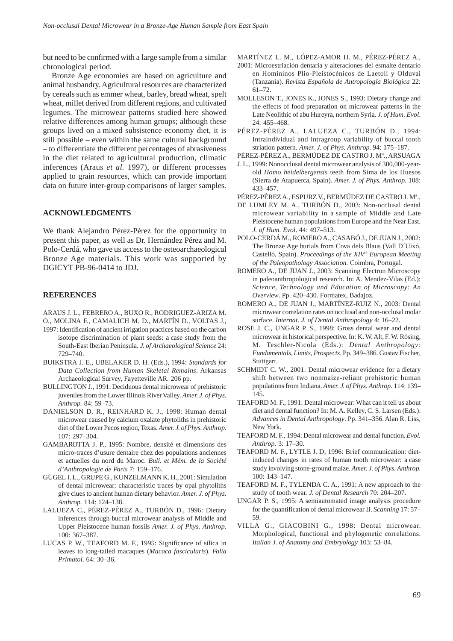but need to be confirmed with a large sample from a similar chronological period.

Bronze Age economies are based on agriculture and animal husbandry. Agricultural resources are characterized by cereals such as emmer wheat, barley, bread wheat, spelt wheat, millet derived from different regions, and cultivated legumes. The microwear patterns studied here showed relative differences among human groups; although these groups lived on a mixed subsistence economy diet, it is still possible – even within the same cultural background – to differentiate the different percentages of abrasiveness in the diet related to agricultural production, climatic inferences (Araus *et al.* 1997), or different processes applied to grain resources, which can provide important data on future inter-group comparisons of larger samples.

## **ACKNOWLEDGMENTS**

We thank Alejandro Pérez-Pérez for the opportunity to present this paper, as well as Dr. Hernández Pérez and M. Polo-Cerdá, who gave us access to the osteoarchaeological Bronze Age materials. This work was supported by DGICYT PB-96-0414 to JDJ.

#### **REFERENCES**

ARAUS J. L., FEBRERO A., BUXO R., RODRIGUEZ-ARIZA M.

- O., MOLINA F., CAMALICH M. D., MARTÍN D., VOLTAS J., 1997: Identification of ancient irrigation practices based on the carbon isotope discrimination of plant seeds: a case study from the South-East Iberian Peninsula. *J. of Archaeological Science* 24: 729–740.
- BUIKSTRA J. E., UBELAKER D. H. (Eds.), 1994: *Standards for Data Collection from Human Skeletal Remains*. Arkansas Archaeological Survey, Fayetteville AR. 206 pp.
- BULLINGTON J., 1991: Deciduous dental microwear of prehistoric juveniles from the Lower Illinois River Valley. *Amer. J. of Phys. Anthrop.* 84: 59–73.
- DANIELSON D. R., REINHARD K. J., 1998: Human dental microwear caused by calcium oxalate phytoliths in prehistoric diet of the Lower Pecos region, Texas. *Amer. J. of Phys. Anthrop.* 107: 297–304.
- GAMBAROTTA J. P., 1995: Nombre, densité et dimensions des micro-traces d'usure dentaire chez des populations anciennes et actuelles du nord du Maroc. *Bull. et Mém. de la Société d'Anthropologie de Paris* 7: 159–176.
- GÜGEL I. L., GRUPE G., KUNZELMANN K. H., 2001: Simulation of dental microwear: characteristic traces by opal phytoliths give clues to ancient human dietary behavior. *Amer. J. of Phys. Anthrop.* 114: 124–138.
- LALUEZA C., PÉREZ-PÉREZ A., TURBÓN D., 1996: Dietary inferences through buccal microwear analysis of Middle and Upper Pleistocene human fossils *Amer. J. of Phys. Anthrop.* 100: 367–387.
- LUCAS P. W., TEAFORD M. F., 1995: Significance of silica in leaves to long-tailed macaques (*Macaca fascicularis*). *Folia Primatol.* 64: 30–36.

MARTÍNEZ L. M., LÓPEZ-AMOR H. M., PÉREZ-PÉREZ A.,

- 2001: Microestriación dentaria y alteraciones del esmalte dentario en Homininos Plio-Pleistocénicos de Laetoli y Olduvai (Tanzania). *Revista Española de Antropología Biológica* 22: 61–72.
- MOLLESON T., JONES K., JONES S., 1993: Dietary change and the effects of food preparation on microwear patterns in the Late Neolithic of abu Hureyra, northern Syria. *J. of Hum. Evol.* 24: 455–468.
- PÉREZ-PÉREZ A., LALUEZA C., TURBÓN D., 1994: Intraindividual and intragroup variability of buccal tooth striation pattern. *Amer. J. of Phys. Anthrop.* 94: 175–187.
- PÉREZ-PÉREZ A., BERMÚDEZ DE CASTRO J. Mª., ARSUAGA
- J. L., 1999: Nonocclusal dental microwear analysis of 300,000-yearold *Homo heidelbergensis* teeth from Sima de los Huesos (Sierra de Atapuerca, Spain). *Amer. J. of Phys. Anthrop.* 108: 433–457.
- PÉREZ-PÉREZ A., ESPURZ V., BERMÚDEZ DE CASTRO J. Mª.,
- DE LUMLEY M. A., TURBÓN D., 2003: Non-occlusal dental microwear variability in a sample of Middle and Late Pleistocene human populations from Europe and the Near East. *J. of Hum. Evol.* 44: 497–513.
- POLO-CERDÁ M., ROMERO A., CASABÓ J., DE JUAN J., 2002: The Bronze Age burials from Cova dels Blaus (Vall D´Uixó, Castelló, Spain). *Proceedings of the XIV<sup>th</sup> European Meeting of the Paleopathology Association.* Coimbra, Portugal.
- ROMERO A., DE JUAN J., 2003: Scanning Electron Microscopy in paleoanthropological research. In: A. Mendez-Vilas (Ed.): *Science, Technology and Education of Microscopy: An Overview*. Pp. 420–430. Formatex, Badajoz.
- ROMERO A., DE JUAN J., MARTÍNEZ-RUIZ N., 2003: Dental microwear correlation rates on occlusal and non-occlusal molar surface. *Internat. J. of Dental Anthropology* 4: 16–22.
- ROSE J. C., UNGAR P. S., 1998: Gross dental wear and dental microwear in historical perspective. In: K. W. Alt, F. W. Rösing, M. Teschler-Nicola (Eds.): *Dental Anthropology: Fundamentals, Limits, Prospects*. Pp. 349–386. Gustav Fischer, Stuttgart.
- SCHMIDT C. W., 2001: Dental microwear evidence for a dietary shift between two nonmaize-reliant prehistoric human populations from Indiana. *Amer. J. of Phys. Anthrop.* 114: 139– 145.
- TEAFORD M. F., 1991: Dental microwear: What can it tell us about diet and dental function? In: M. A. Kelley, C. S. Larsen (Eds.): *Advances in Dental Anthropology*. Pp. 341–356. Alan R. Liss, New York.
- TEAFORD M. F., 1994: Dental microwear and dental function. *Evol. Anthrop.* 3: 17–30.
- TEAFORD M. F., LYTLE J. D, 1996: Brief communication: dietinduced changes in rates of human tooth microwear: a case study involving stone-ground maize. *Amer. J. of Phys. Anthrop.* 100: 143–147.
- TEAFORD M. F., TYLENDA C. A., 1991: A new approach to the study of tooth wear. *J. of Dental Research* 70: 204–207.
- UNGAR P. S., 1995: A semiautomated image analysis procedure for the quantification of dental microwear II. *Scanning* 17: 57– 59.
- VILLA G., GIACOBINI G., 1998: Dental microwear. Morphological, functional and phylogenetic correlations. *Italian J. of Anatomy and Embryology* 103: 53–84.